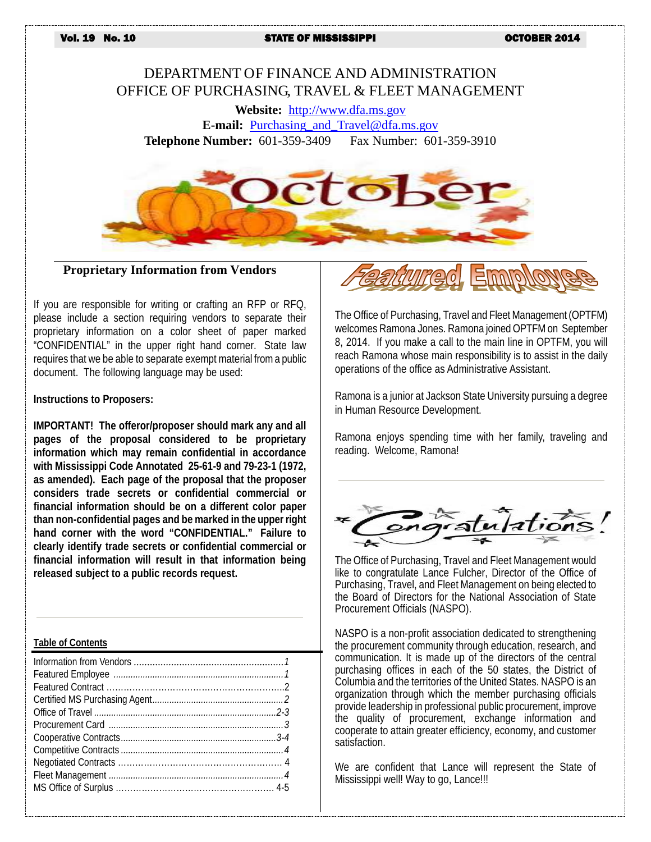Vol. 19 No. 10 STATE OF MISSISSIPPI OCTOBER 2014

# DEPARTMENT OF FINANCE AND ADMINISTRATION OFFICE OF PURCHASING, TRAVEL & FLEET MANAGEMENT

**Website:** [http://www.dfa.ms.gov](http://www.dfa.ms.gov/) **E-mail:** [Purchasing\\_and\\_Travel@dfa.ms.gov](mailto:Purchasing_and_Travel@dfa.ms.gov)

**Telephone Number:** 601-359-3409 Fax Number: 601-359-3910



**Proprietary Information from Vendors**

If you are responsible for writing or crafting an RFP or RFQ, please include a section requiring vendors to separate their proprietary information on a color sheet of paper marked "CONFIDENTIAL" in the upper right hand corner. State law requires that we be able to separate exempt material from a public document. The following language may be used:

**Instructions to Proposers:**

**IMPORTANT! The offeror/proposer should mark any and all pages of the proposal considered to be proprietary information which may remain confidential in accordance with Mississippi Code Annotated 25-61-9 and 79-23-1 (1972, as amended). Each page of the proposal that the proposer considers trade secrets or confidential commercial or financial information should be on a different color paper than non-confidential pages and be marked in the upper right hand corner with the word "CONFIDENTIAL." Failure to clearly identify trade secrets or confidential commercial or financial information will result in that information being released subject to a public records request.**

#### **Table of Contents**



The Office of Purchasing, Travel and Fleet Management (OPTFM) welcomes Ramona Jones. Ramona joined OPTFMon September 8, 2014. If you make a call to the main line in OPTFM, you will reach Ramona whose main responsibility is to assist in the daily operations of the office as Administrative Assistant.

Ramona is a junior at Jackson State University pursuing a degree in Human Resource Development.

Ramona enjoys spending time with her family, traveling and reading. Welcome, Ramona!



The Office of Purchasing, Travel and Fleet Management would like to congratulate Lance Fulcher, Director of the Office of Purchasing, Travel, and Fleet Management on being elected to the Board of Directors for the National Association of State Procurement Officials (NASPO).

NASPO is a non-profit association dedicated to strengthening the procurement community through education, research, and communication. It is made up of the directors of the central purchasing offices in each of the 50 states, the District of Columbia and the territories of the United States. NASPO is an organization through which the member purchasing officials provide leadership in professional public procurement, improve the quality of procurement, exchange information and cooperate to attain greater efficiency, economy, and customer satisfaction.

We are confident that Lance will represent the State of Mississippi well! Way to go, Lance!!!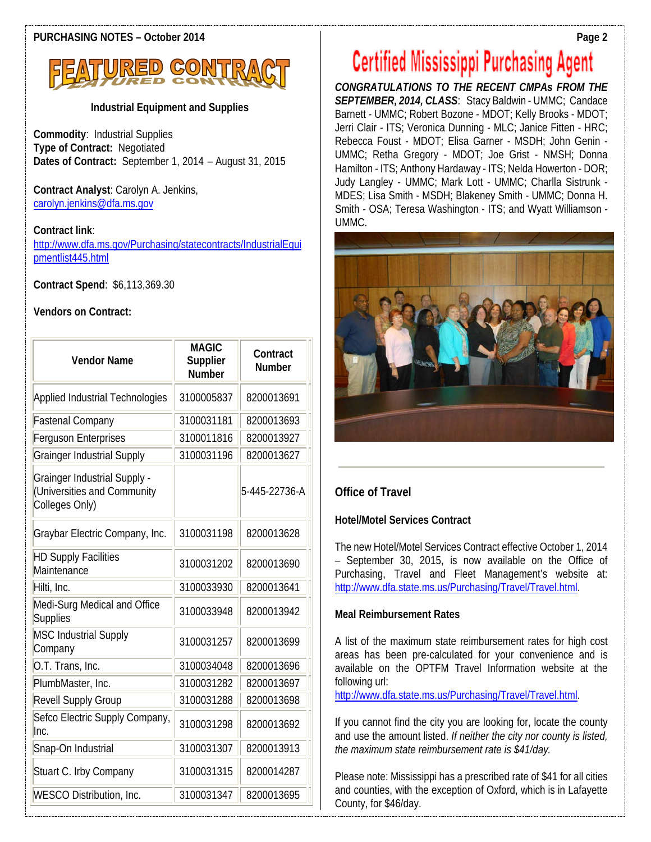

# **Industrial Equipment and Supplies**

**Commodity**: Industrial Supplies **Type of Contract:** Negotiated **Dates of Contract:** September 1, 2014 – August 31, 2015

**Contract Analyst**: Carolyn A. Jenkins, [carolyn.jenkins@dfa.ms.gov](mailto:carolyn.jenkins@dfa.ms.gov)

**Contract link**:

[http://www.dfa.ms.gov/Purchasing/statecontracts/IndustrialEqui](http://www.dfa.ms.gov/Purchasing/statecontracts/IndustrialEquipmentlist445.html) [pmentlist445.html](http://www.dfa.ms.gov/Purchasing/statecontracts/IndustrialEquipmentlist445.html)

**Contract Spend**: \$6,113,369.30

# **Vendors on Contract:**

| <b>Vendor Name</b>                                                                   | <b>MAGIC</b><br>Supplier<br><b>Number</b> | Contract<br><b>Number</b> |
|--------------------------------------------------------------------------------------|-------------------------------------------|---------------------------|
| Applied Industrial Technologies                                                      | 3100005837                                | 8200013691                |
| <b>Fastenal Company</b>                                                              | 3100031181                                | 8200013693                |
| Ferguson Enterprises                                                                 | 3100011816                                | 8200013927                |
| <b>Grainger Industrial Supply</b>                                                    | 3100031196                                | 8200013627                |
| <b>Grainger Industrial Supply -</b><br>(Universities and Community<br>Colleges Only) |                                           | 5-445-22736-A             |
| Graybar Electric Company, Inc.                                                       | 3100031198                                | 8200013628                |
| <b>HD Supply Facilities</b><br>Maintenance                                           | 3100031202                                | 8200013690                |
| Hilti, Inc.                                                                          | 3100033930                                | 8200013641                |
| Medi-Surg Medical and Office<br>Supplies                                             | 3100033948                                | 8200013942                |
| <b>MSC Industrial Supply</b><br>Company                                              | 3100031257                                | 8200013699                |
| O.T. Trans, Inc.                                                                     | 3100034048                                | 8200013696                |
| PlumbMaster, Inc.                                                                    | 3100031282                                | 8200013697                |
| Revell Supply Group                                                                  | 3100031288                                | 8200013698                |
| Sefco Electric Supply Company,<br>Inc.                                               | 3100031298                                | 8200013692                |
| Snap-On Industrial                                                                   | 3100031307                                | 8200013913                |
| Stuart C. Irby Company                                                               | 3100031315                                | 8200014287                |
| <b>WESCO Distribution, Inc.</b>                                                      | 3100031347                                | 8200013695                |

# **Certified Mississippi Purchasing Agent**

*CONGRATULATIONS TO THE RECENT CMPAs FROM THE SEPTEMBER, 2014, CLASS*: Stacy Baldwin - UMMC; Candace Barnett - UMMC; Robert Bozone - MDOT; Kelly Brooks - MDOT; Jerri Clair - ITS; Veronica Dunning - MLC; Janice Fitten - HRC; Rebecca Foust - MDOT; Elisa Garner - MSDH; John Genin - UMMC; Retha Gregory - MDOT; Joe Grist - NMSH; Donna Hamilton - ITS; Anthony Hardaway - ITS; Nelda Howerton - DOR; Judy Langley - UMMC; Mark Lott - UMMC; Charlla Sistrunk - MDES; Lisa Smith - MSDH; Blakeney Smith - UMMC; Donna H. Smith - OSA; Teresa Washington - ITS; and Wyatt Williamson - UMMC.



# **Office of Travel**

# **Hotel/Motel Services Contract**

The new Hotel/Motel Services Contract effective October 1, 2014 – September 30, 2015, is now available on the Office of Purchasing, Travel and Fleet Management's website at: [http://www.dfa.state.ms.us/Purchasing/Travel/Travel.html.](http://www.dfa.state.ms.us/Purchasing/Travel/Travel.html) 

# **Meal Reimbursement Rates**

A list of the maximum state reimbursement rates for high cost areas has been pre-calculated for your convenience and is available on the OPTFM Travel Information website at the following url:

[http://www.dfa.state.ms.us/Purchasing/Travel/Travel.html.](http://www.dfa.state.ms.us/Purchasing/Travel/Travel.html) 

If you cannot find the city you are looking for, locate the county and use the amount listed. *If neither the city nor county is listed, the maximum state reimbursement rate is \$41/day.* 

Please note: Mississippi has a prescribed rate of \$41 for all cities and counties, with the exception of Oxford, which is in Lafayette County, for \$46/day.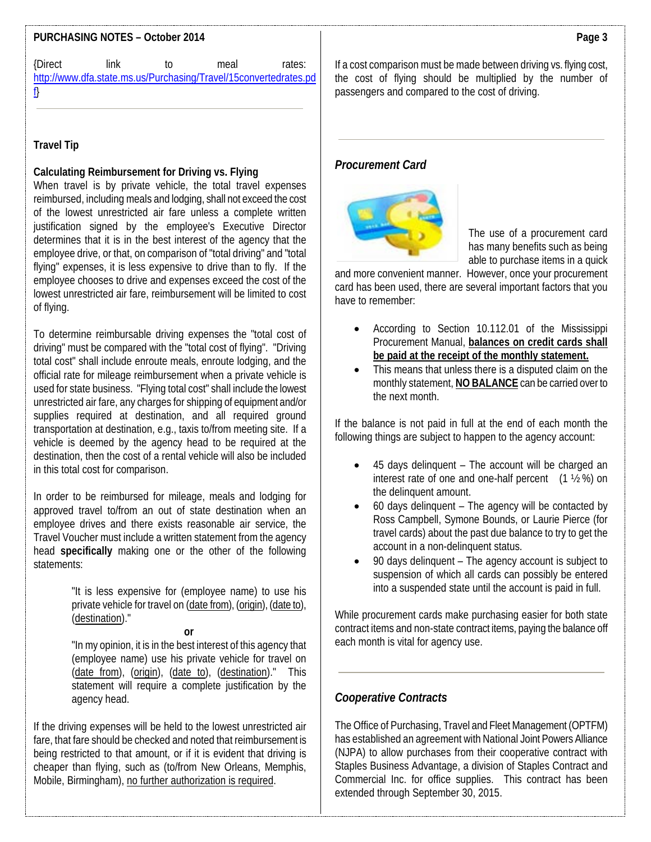# **PURCHASING NOTES – October 2014**

| {Direct | link | t∩ | meal                                                             | rates: |
|---------|------|----|------------------------------------------------------------------|--------|
|         |      |    | http://www.dfa.state.ms.us/Purchasing/Travel/15convertedrates.pd |        |
|         |      |    |                                                                  |        |

# **Travel Tip**

## **Calculating Reimbursement for Driving vs. Flying**

When travel is by private vehicle, the total travel expenses reimbursed, including meals and lodging, shall not exceed the cost of the lowest unrestricted air fare unless a complete written justification signed by the employee's Executive Director determines that it is in the best interest of the agency that the employee drive, or that, on comparison of "total driving" and "total flying" expenses, it is less expensive to drive than to fly. If the employee chooses to drive and expenses exceed the cost of the lowest unrestricted air fare, reimbursement will be limited to cost of flying.

To determine reimbursable driving expenses the "total cost of driving" must be compared with the "total cost of flying". "Driving total cost" shall include enroute meals, enroute lodging, and the official rate for mileage reimbursement when a private vehicle is used for state business. "Flying total cost" shall include the lowest unrestricted air fare, any charges for shipping of equipment and/or supplies required at destination, and all required ground transportation at destination, e.g., taxis to/from meeting site. If a vehicle is deemed by the agency head to be required at the destination, then the cost of a rental vehicle will also be included in this total cost for comparison.

In order to be reimbursed for mileage, meals and lodging for approved travel to/from an out of state destination when an employee drives and there exists reasonable air service, the Travel Voucher must include a written statement from the agency head **specifically** making one or the other of the following statements:

> "It is less expensive for (employee name) to use his private vehicle for travel on (date from), (origin), (date to), (destination)."

**or**

"In my opinion, it is in the best interest of this agency that (employee name) use his private vehicle for travel on (date from), (origin), (date to), (destination)." This statement will require a complete justification by the agency head.

If the driving expenses will be held to the lowest unrestricted air fare, that fare should be checked and noted that reimbursement is being restricted to that amount, or if it is evident that driving is cheaper than flying, such as (to/from New Orleans, Memphis, Mobile, Birmingham), no further authorization is required.

If a cost comparison must be made between driving vs. flying cost, the cost of flying should be multiplied by the number of passengers and compared to the cost of driving.

# *Procurement Card*



The use of a procurement card has many benefits such as being able to purchase items in a quick

and more convenient manner. However, once your procurement card has been used, there are several important factors that you have to remember:

- According to Section 10.112.01 of the Mississippi Procurement Manual, **balances on credit cards shall be paid at the receipt of the monthly statement.**
- This means that unless there is a disputed claim on the monthly statement, **NO BALANCE** can be carried over to the next month.

If the balance is not paid in full at the end of each month the following things are subject to happen to the agency account:

- 45 days delinquent The account will be charged an interest rate of one and one-half percent  $(1 \frac{1}{2} \%)$  on the delinquent amount.
- 60 days delinquent The agency will be contacted by Ross Campbell, Symone Bounds, or Laurie Pierce (for travel cards) about the past due balance to try to get the account in a non-delinquent status.
- 90 days delinquent The agency account is subject to suspension of which all cards can possibly be entered into a suspended state until the account is paid in full.

While procurement cards make purchasing easier for both state contract items and non-state contract items, paying the balance off each month is vital for agency use.

# *Cooperative Contracts*

The Office of Purchasing, Travel and Fleet Management (OPTFM) has established an agreement with National Joint Powers Alliance (NJPA) to allow purchases from their cooperative contract with Staples Business Advantage, a division of Staples Contract and Commercial Inc. for office supplies. This contract has been extended through September 30, 2015.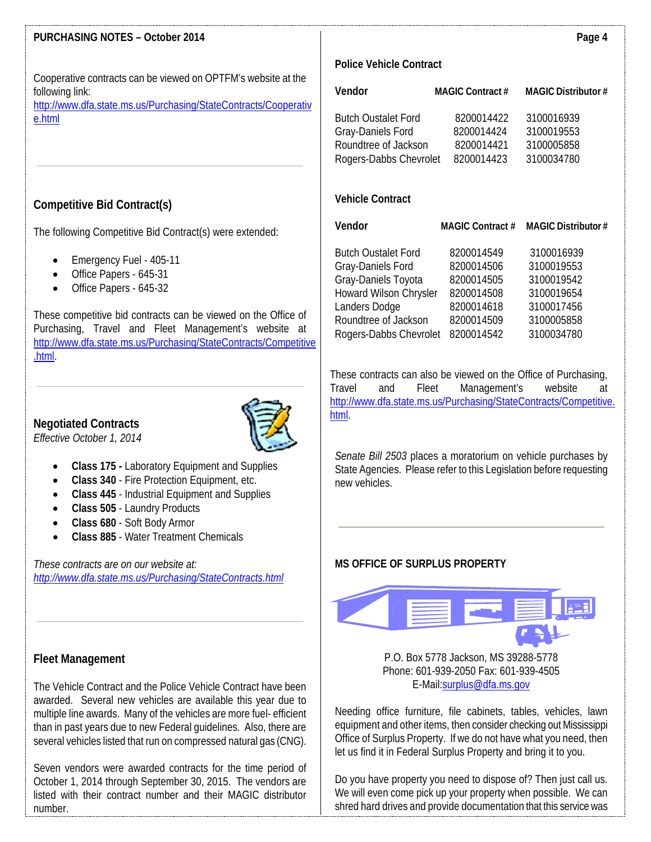# **PURCHASING NOTES – October 2014**

Cooperative contracts can be viewed on OPTFM's website at the following link:

[http://www.dfa.state.ms.us/Purchasing/StateContracts/Cooperativ](http://www.dfa.state.ms.us/Purchasing/StateContracts/Cooperative.html) [e.html](http://www.dfa.state.ms.us/Purchasing/StateContracts/Cooperative.html)

# **Competitive Bid Contract(s)**

The following Competitive Bid Contract(s) were extended:

- Emergency Fuel 405-11
- Office Papers 645-31
- Office Papers 645-32

These competitive bid contracts can be viewed on the Office of Purchasing, Travel and Fleet Management's website at [http://www.dfa.state.ms.us/Purchasing/StateContracts/Competitive](http://www.dfa.state.ms.us/Purchasing/StateContracts/Competitive.html) [.html.](http://www.dfa.state.ms.us/Purchasing/StateContracts/Competitive.html)

# **Negotiated Contracts**





- **Class 175 -** Laboratory Equipment and Supplies
- **Class 340** Fire Protection Equipment, etc.
- **Class 445**  Industrial Equipment and Supplies
- **Class 505** Laundry Products
- **Class 680** Soft Body Armor
- **Class 885** Water Treatment Chemicals

*These contracts are on our website at: <http://www.dfa.state.ms.us/Purchasing/StateContracts.html>*

#### **Fleet Management**

The Vehicle Contract and the Police Vehicle Contract have been awarded. Several new vehicles are available this year due to multiple line awards. Many of the vehicles are more fuel- efficient than in past years due to new Federal guidelines.Also, there are several vehicles listed that run on compressed natural gas (CNG).

Seven vendors were awarded contracts for the time period of October 1, 2014 through September 30, 2015. The vendors are listed with their contract number and their MAGIC distributor number.

#### **Police Vehicle Contract**

| Vendor                                                                  | <b>MAGIC Contract #</b>                | <b>MAGIC Distributor #</b>             |
|-------------------------------------------------------------------------|----------------------------------------|----------------------------------------|
| <b>Butch Oustalet Ford</b><br>Gray-Daniels Ford<br>Roundtree of Jackson | 8200014422<br>8200014424<br>8200014421 | 3100016939<br>3100019553<br>3100005858 |
| Rogers-Dabbs Chevrolet                                                  | 8200014423                             | 3100034780                             |

## **Vehicle Contract**

| Vendor                     | <b>MAGIC Contract #</b> | <b>MAGIC Distributor#</b> |
|----------------------------|-------------------------|---------------------------|
| <b>Butch Oustalet Ford</b> | 8200014549              | 3100016939                |
| Gray-Daniels Ford          | 8200014506              | 3100019553                |
| Gray-Daniels Toyota        | 8200014505              | 3100019542                |
| Howard Wilson Chrysler     | 8200014508              | 3100019654                |
| Landers Dodge              | 8200014618              | 3100017456                |
| Roundtree of Jackson       | 8200014509              | 3100005858                |
| Rogers-Dabbs Chevrolet     | 8200014542              | 3100034780                |
|                            |                         |                           |

These contracts can also be viewed on the Office of Purchasing, Travel and Fleet Management's website at [http://www.dfa.state.ms.us/Purchasing/StateContracts/Competitive.](http://www.dfa.state.ms.us/Purchasing/StateContracts/Competitive.html) [html.](http://www.dfa.state.ms.us/Purchasing/StateContracts/Competitive.html)

*Senate Bill 2503* places a moratorium on vehicle purchases by State Agencies. Please refer to this Legislation before requesting new vehicles.

# **MS OFFICE OF SURPLUS PROPERTY**



P.O. Box 5778 Jackson, MS 39288-5778 Phone: 601-939-2050 Fax: 601-939-4505 E-Mail[:surplus@dfa.ms.gov](mailto:surplus@dfa.ms.gov)

Needing office furniture, file cabinets, tables, vehicles, lawn equipment and other items, then consider checking out Mississippi Office of Surplus Property. If we do not have what you need, then let us find it in Federal Surplus Property and bring it to you.

Do you have property you need to dispose of? Then just call us. We will even come pick up your property when possible. We can shred hard drives and provide documentation that this service was